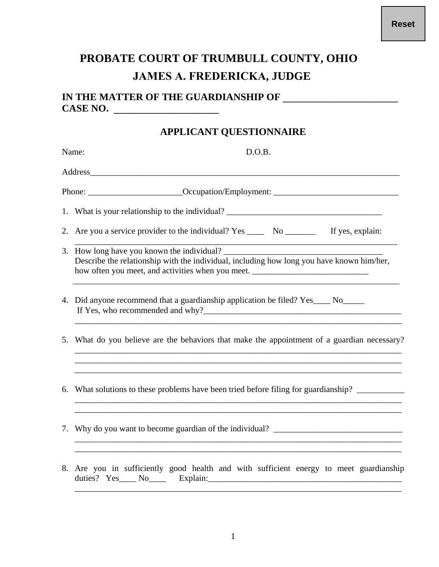## **PROBATE COURT OF TRUMBULL COUNTY, OHIO JAMES A. FREDERICKA, JUDGE**

## **IN THE MATTER OF THE GUARDIANSHIP OF \_\_\_\_\_\_\_\_\_\_\_\_\_\_\_\_\_\_\_\_\_\_\_ CASE NO. \_\_\_\_\_\_\_\_\_\_\_\_\_\_\_\_\_\_\_\_\_**

## **APPLICANT QUESTIONNAIRE**

| Name: | D.O.B.                                                                                                                                                                                                                                                                                      |
|-------|---------------------------------------------------------------------------------------------------------------------------------------------------------------------------------------------------------------------------------------------------------------------------------------------|
|       | Address                                                                                                                                                                                                                                                                                     |
|       | Phone: _______________________________Occupation/Employment: ____________________                                                                                                                                                                                                           |
|       | 1. What is your relationship to the individual? _________________________________                                                                                                                                                                                                           |
|       | 2. Are you a service provider to the individual? Yes ______ No ___________ If yes, explain:                                                                                                                                                                                                 |
|       | 3. How long have you known the individual?<br>Describe the relationship with the individual, including how long you have known him/her,<br>how often you meet, and activities when you meet. ______________________________                                                                 |
|       | 4. Did anyone recommend that a guardianship application be filed? Yes____ No_____                                                                                                                                                                                                           |
|       | 5. What do you believe are the behaviors that make the appointment of a guardian necessary?<br>,我们也不能在这里的人,我们也不能在这里的人,我们也不能在这里的人,我们也不能在这里的人,我们也不能在这里的人,我们也不能在这里的人,我们也不能在这里的人,我们也                                                                                                            |
|       | ,我们也不能在这里的时候,我们也不能在这里的时候,我们也不能在这里的时候,我们也不能会在这里的时候,我们也不能会在这里的时候,我们也不能会在这里的时候,我们也不<br>6. What solutions to these problems have been tried before filing for guardianship?<br>and the control of the control of the control of the control of the control of the control of the control of the |
|       | 7. Why do you want to become guardian of the individual?<br>a se provincia de la construcción de la construcción de la construcción de la construcción de la construcción                                                                                                                   |
|       | 8. Are you in sufficiently good health and with sufficient energy to meet guardianship                                                                                                                                                                                                      |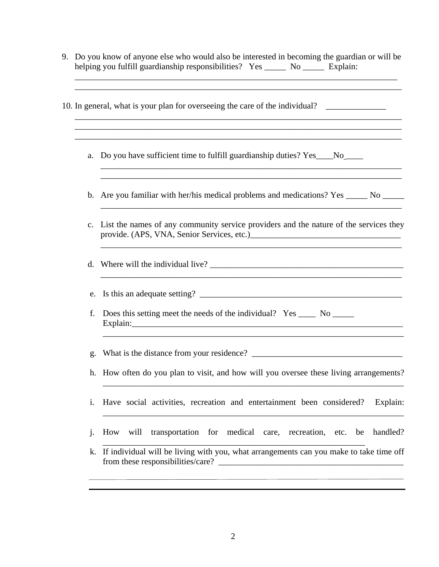9. Do you know of anyone else who would also be interested in becoming the guardian or will be helping you fulfill guardianship responsibilities? Yes \_\_\_\_\_\_ No \_\_\_\_\_\_ Explain:

\_\_\_\_\_\_\_\_\_\_\_\_\_\_\_\_\_\_\_\_\_\_\_\_\_\_\_\_\_\_\_\_\_\_\_\_\_\_\_\_\_\_\_\_\_\_\_\_\_\_\_\_\_\_\_\_\_\_\_\_\_\_\_\_\_\_\_\_\_\_\_\_\_\_\_ \_\_\_\_\_\_\_\_\_\_\_\_\_\_\_\_\_\_\_\_\_\_\_\_\_\_\_\_\_\_\_\_\_\_\_\_\_\_\_\_\_\_\_\_\_\_\_\_\_\_\_\_\_\_\_\_\_\_\_\_\_\_\_\_\_\_\_\_\_\_\_\_\_\_\_\_

\_\_\_\_\_\_\_\_\_\_\_\_\_\_\_\_\_\_\_\_\_\_\_\_\_\_\_\_\_\_\_\_\_\_\_\_\_\_\_\_\_\_\_\_\_\_\_\_\_\_\_\_\_\_\_\_\_\_\_\_\_\_\_\_\_\_\_\_\_\_\_\_\_\_\_\_ \_\_\_\_\_\_\_\_\_\_\_\_\_\_\_\_\_\_\_\_\_\_\_\_\_\_\_\_\_\_\_\_\_\_\_\_\_\_\_\_\_\_\_\_\_\_\_\_\_\_\_\_\_\_\_\_\_\_\_\_\_\_\_\_\_\_\_\_\_\_\_\_\_\_\_\_

- 10. In general, what is your plan for overseeing the care of the individual? \_\_\_\_\_\_\_\_\_\_\_\_\_\_\_\_\_\_\_\_\_\_\_\_\_\_\_\_\_\_\_\_\_
	- a. Do you have sufficient time to fulfill guardianship duties? Yes\_\_\_No \_\_\_\_\_\_\_
	- b. Are you familiar with her/his medical problems and medications? Yes \_\_\_\_\_\_ No

\_\_\_\_\_\_\_\_\_\_\_\_\_\_\_\_\_\_\_\_\_\_\_\_\_\_\_\_\_\_\_\_\_\_\_\_\_\_\_\_\_\_\_\_\_\_\_\_\_\_\_\_\_\_\_\_\_\_\_\_\_\_\_\_\_\_\_\_\_\_ \_\_\_\_\_\_\_\_\_\_\_\_\_\_\_\_\_\_\_\_\_\_\_\_\_\_\_\_\_\_\_\_\_\_\_\_\_\_\_\_\_\_\_\_\_\_\_\_\_\_\_\_\_\_\_\_\_\_\_\_\_\_\_\_\_\_\_\_\_\_

\_\_\_\_\_\_\_\_\_\_\_\_\_\_\_\_\_\_\_\_\_\_\_\_\_\_\_\_\_\_\_\_\_\_\_\_\_\_\_\_\_\_\_\_\_\_\_\_\_\_\_\_\_\_\_\_\_\_\_\_\_\_\_\_\_\_\_\_\_\_

\_\_\_\_\_\_\_\_\_\_\_\_\_\_\_\_\_\_\_\_\_\_\_\_\_\_\_\_\_\_\_\_\_\_\_\_\_\_\_\_\_\_\_\_\_\_\_\_\_\_\_\_\_\_\_\_\_\_\_\_\_\_\_\_\_\_\_\_\_\_

- c. List the names of any community service providers and the nature of the services they provide. (APS, VNA, Senior Services, etc.)\_\_\_\_\_\_\_\_\_\_\_\_\_\_\_\_\_\_\_\_\_\_\_\_\_\_\_\_\_\_\_\_\_\_\_
- d. Where will the individual live?

e. Is this an adequate setting?

f. Does this setting meet the needs of the individual? Yes \_\_\_\_ No \_\_\_\_\_ Explain:\_\_\_\_\_\_\_\_\_\_\_\_\_\_\_\_\_\_\_\_\_\_\_\_\_\_\_\_\_\_\_\_\_\_\_\_\_\_\_\_\_\_\_\_\_\_\_\_\_\_\_\_\_\_\_\_\_\_\_\_\_\_\_

g. What is the distance from your residence? \_\_\_\_\_\_\_\_\_\_\_\_\_\_\_\_\_\_\_\_\_\_\_\_\_\_\_\_\_\_\_\_\_\_\_

h. How often do you plan to visit, and how will you oversee these living arrangements?

\_\_\_\_\_\_\_\_\_\_\_\_\_\_\_\_\_\_\_\_\_\_\_\_\_\_\_\_\_\_\_\_\_\_\_\_\_\_\_\_\_\_\_\_\_\_\_\_\_\_\_\_\_\_\_\_\_\_\_\_\_\_\_\_\_\_\_\_\_\_

\_\_\_\_\_\_\_\_\_\_\_\_\_\_\_\_\_\_\_\_\_\_\_\_\_\_\_\_\_\_\_\_\_\_\_\_\_\_\_\_\_\_\_\_\_\_\_\_\_\_\_\_\_\_\_\_\_\_\_\_\_\_\_\_\_\_\_\_\_\_

\_\_\_\_\_\_\_\_\_\_\_\_\_\_\_\_\_\_\_\_\_\_\_\_\_\_\_\_\_\_\_\_\_\_\_\_\_\_\_\_\_\_\_\_\_\_\_\_\_\_\_\_\_\_\_\_\_\_\_\_\_\_\_\_\_\_\_\_\_\_

- i. Have social activities, recreation and entertainment been considered? Explain:
- j. How will transportation for medical care, recreation, etc. be handled?

\_\_\_\_\_\_\_\_\_\_\_\_\_\_\_\_\_\_\_\_\_\_\_\_\_\_\_\_\_\_\_\_\_\_\_\_\_\_\_\_\_\_\_\_\_\_\_\_\_\_\_\_\_\_\_\_\_\_\_\_\_

k. If individual will be living with you, what arrangements can you make to take time off from these responsibilities/care? \_\_\_\_\_\_\_\_\_\_\_\_\_\_\_\_\_\_\_\_\_\_\_\_\_\_\_\_\_\_\_\_\_\_\_\_\_\_\_\_\_\_\_